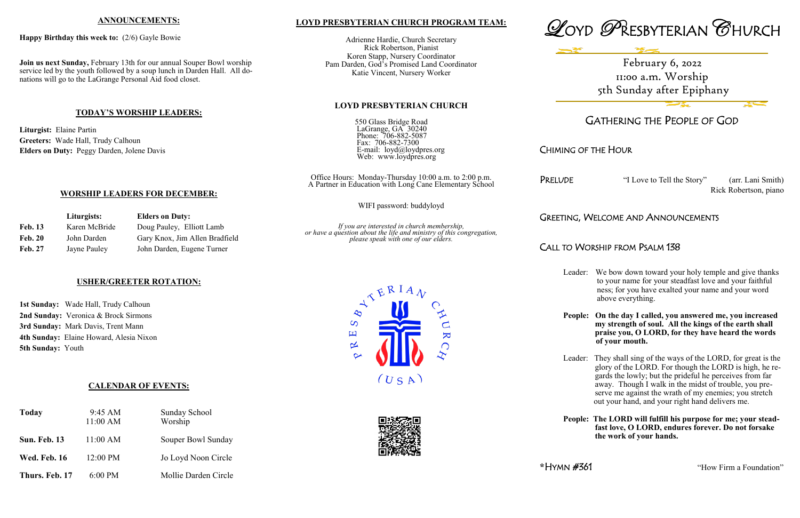### **LOYD PRESBYTERIAN CHURCH PROGRAM TEAM:**

Adrienne Hardie, Church Secretary Rick Robertson, Pianist Koren Stapp, Nursery Coordinator Pam Darden, God's Promised Land Coordinator Katie Vincent, Nursery Worker

### **LOYD PRESBYTERIAN CHURCH**

550 Glass Bridge Road LaGrange, GA 30240 Phone: 706-882-5087 Fax: 706-882-7300 E-mail: loyd@loydpres.org Web: www.loydpres.org

> PRELUDE "I Love to Tell the Story" (arr. Lani Smith) Rick Robertson, piano

Office Hours: Monday-Thursday 10:00 a.m. to 2:00 p.m. A Partner in Education with Long Cane Elementary School

WIFI password: buddyloyd

*If you are interested in church membership, or have a question about the life and ministry of this congregation, please speak with one of our elders.*





# GATHERING THE PEOPLE OF GOD

## CHIMING OF THE HOUR

### GREETING, WELCOME AND ANNOUNCEMENTS

## CALL TO WORSHIP FROM PSALM 138

Leader: We bow down toward your holy temple and give thanks to your name for your steadfast love and your faithful ness; for you have exalted your name and your word above everything.

**People: On the day I called, you answered me, you increased my strength of soul. All the kings of the earth shall praise you, O LORD, for they have heard the words of your mouth.**

Leader: They shall sing of the ways of the LORD, for great is the glory of the LORD. For though the LORD is high, he re gards the lowly; but the prideful he perceives from far away. Though I walk in the midst of trouble, you pre serve me against the wrath of my enemies; you stretch out your hand, and your right hand delivers me.

**People: The LORD will fulfill his purpose for me; your stead fast love, O LORD, endures forever. Do not forsake the work of your hands.**

\*HYMN #361 "How Firm a Foundation"

### **ANNOUNCEMENTS:**

#### **Happy Birthday this week to:** (2/6) Gayle Bowie

**Join us next Sunday,** February 13th for our annual Souper Bowl worship service led by the youth followed by a soup lunch in Darden Hall. All donations will go to the LaGrange Personal Aid food closet.

### **TODAY'S WORSHIP LEADERS:**

**Liturgist:** Elaine Partin **Greeters:** Wade Hall, Trudy Calhoun **Elders on Duty:** Peggy Darden, Jolene Davis

## **WORSHIP LEADERS FOR DECEMBER:**

|                | Liturgists:   | <b>Elders on Duty:</b>         |
|----------------|---------------|--------------------------------|
| <b>Feb. 13</b> | Karen McBride | Doug Pauley, Elliott Lamb      |
| <b>Feb. 20</b> | John Darden   | Gary Knox, Jim Allen Bradfield |
| <b>Feb. 27</b> | Jayne Pauley  | John Darden, Eugene Turner     |

### **USHER/GREETER ROTATION:**

**1st Sunday:** Wade Hall, Trudy Calhoun **2nd Sunday:** Veronica & Brock Sirmons **3rd Sunday:** Mark Davis, Trent Mann **4th Sunday:** Elaine Howard, Alesia Nixon **5th Sunday:** Youth

### **CALENDAR OF EVENTS:**

| <b>Today</b>        | 9:45 AM<br>$11:00$ AM | <b>Sunday School</b><br>Worship |
|---------------------|-----------------------|---------------------------------|
| Sun. Feb. 13        | 11:00 AM              | Souper Bowl Sunday              |
| <b>Wed. Feb. 16</b> | 12:00 PM              | Jo Loyd Noon Circle             |
| Thurs. Feb. 17      | $6:00 \text{ PM}$     | Mollie Darden Circle            |



February 6, 2022 11:00 a.m. Worship 5th Sunday after Epiphany